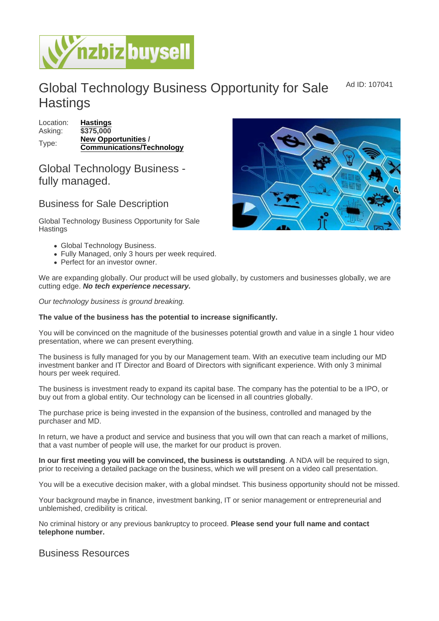Ad ID: 107041

## Global Technology Business Opportunity for Sale **Hastings**

| Location: | Hastings                  |
|-----------|---------------------------|
| Asking:   | \$375,000                 |
| Type:     | New Opportunities /       |
|           | Communications/Technology |

## Global Technology Business fully managed.

## Business for Sale Description

Global Technology Business Opportunity for Sale **Hastings** 

- Global Technology Business.
- Fully Managed, only 3 hours per week required.
- Perfect for an investor owner.

We are expanding globally. Our product will be used globally, by customers and businesses globally, we are cutting edge. No tech experience necessary.

Our technology business is ground breaking.

The value of the business has the potential to increase significantly.

You will be convinced on the magnitude of the businesses potential growth and value in a single 1 hour video presentation, where we can present everything.

The business is fully managed for you by our Management team. With an executive team including our MD investment banker and IT Director and Board of Directors with significant experience. With only 3 minimal hours per week required.

The business is investment ready to expand its capital base. The company has the potential to be a IPO, or buy out from a global entity. Our technology can be licensed in all countries globally.

The purchase price is being invested in the expansion of the business, controlled and managed by the purchaser and MD.

In return, we have a product and service and business that you will own that can reach a market of millions, that a vast number of people will use, the market for our product is proven.

In our first meeting you will be convinced, the business is outstanding . A NDA will be required to sign, prior to receiving a detailed package on the business, which we will present on a video call presentation.

You will be a executive decision maker, with a global mindset. This business opportunity should not be missed.

Your background maybe in finance, investment banking, IT or senior management or entrepreneurial and unblemished, credibility is critical.

No criminal history or any previous bankruptcy to proceed. Please send your full name and contact telephone number.

## Business Resources